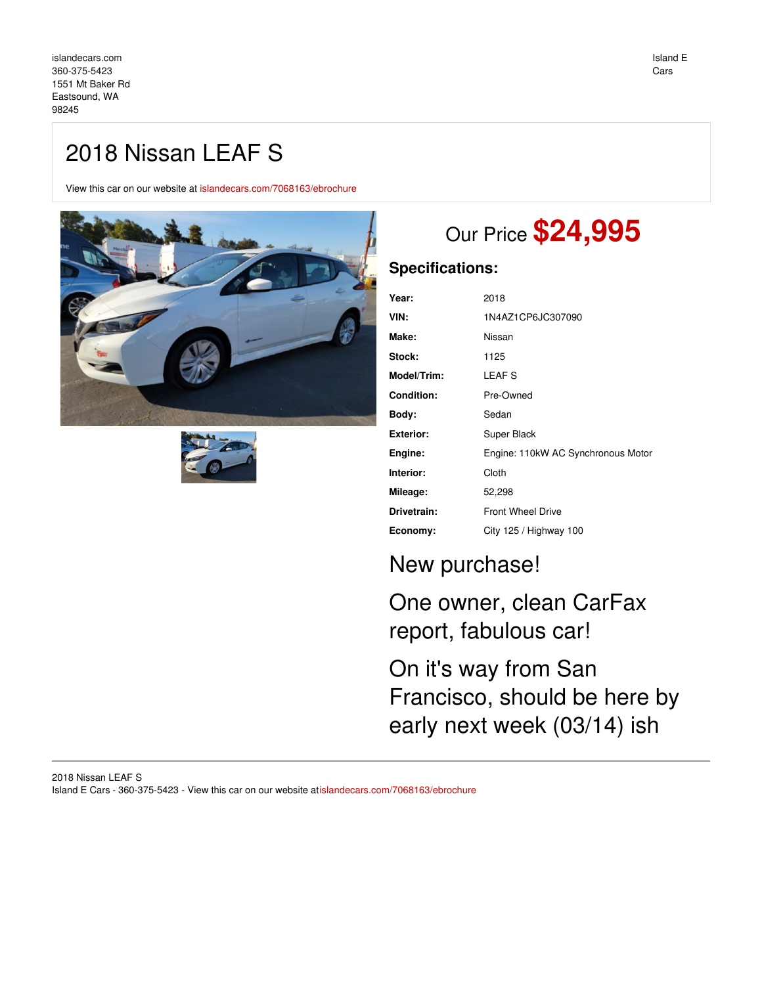## 2018 Nissan LEAF S

View this car on our website at [islandecars.com/7068163/ebrochure](https://islandecars.com/vehicle/7068163/2018-nissan-leaf-s-eastsound-wa-98245/7068163/ebrochure)





# Our Price **\$24,995**

### **Specifications:**

| Year:              | 2018                               |
|--------------------|------------------------------------|
| VIN:               | 1N4AZ1CP6JC307090                  |
| Make:              | Nissan                             |
| Stock:             | 1125                               |
| <b>Model/Trim:</b> | <b>LEAFS</b>                       |
| <b>Condition:</b>  | Pre-Owned                          |
| Body:              | Sedan                              |
| Exterior:          | Super Black                        |
| Engine:            | Engine: 110kW AC Synchronous Motor |
| Interior:          | Cloth                              |
| Mileage:           | 52,298                             |
| Drivetrain:        | <b>Front Wheel Drive</b>           |
| Economy:           | City 125 / Highway 100             |

## New purchase!

One owner, clean CarFax report, fabulous car!

On it's way from San Francisco, should be here by early next week (03/14) ish

#### 2018 Nissan LEAF S Island E Cars - 360-375-5423 - View this car on our website a[tislandecars.com/7068163/ebrochure](https://islandecars.com/vehicle/7068163/2018-nissan-leaf-s-eastsound-wa-98245/7068163/ebrochure)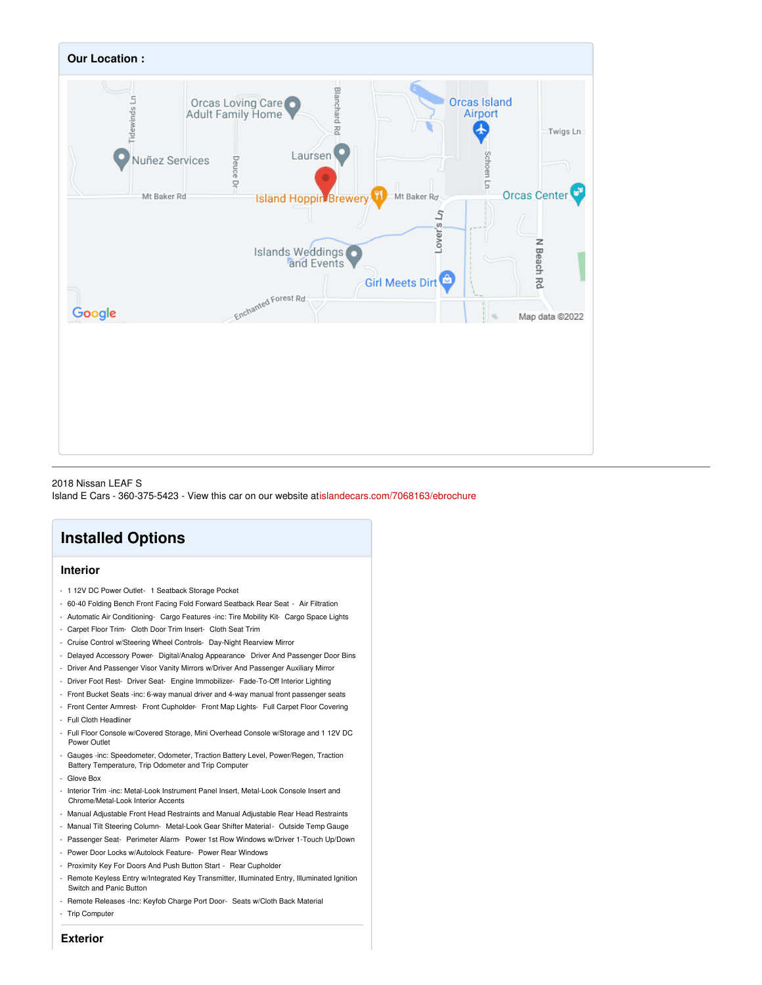

#### 2018 Nissan LEAF S Island E Cars - 360-375-5423 - View this car on our website a[tislandecars.com/7068163/ebrochure](https://islandecars.com/vehicle/7068163/2018-nissan-leaf-s-eastsound-wa-98245/7068163/ebrochure)

### **Installed Options**

#### **Interior**

- 1 12V DC Power Outlet- 1 Seatback Storage Pocket
- 60-40 Folding Bench Front Facing Fold Forward Seatback Rear Seat Air Filtration
- Automatic Air Conditioning- Cargo Features -inc: Tire Mobility Kit- Cargo Space Lights
- Carpet Floor Trim- Cloth Door Trim Insert- Cloth Seat Trim
- Cruise Control w/Steering Wheel Controls- Day-Night Rearview Mirror
- Delayed Accessory Power- Digital/Analog Appearance- Driver And Passenger Door Bins
- Driver And Passenger Visor Vanity Mirrors w/Driver And Passenger Auxiliary Mirror
- Driver Foot Rest- Driver Seat- Engine Immobilizer- Fade-To-Off Interior Lighting
- Front Bucket Seats -inc: 6-way manual driver and 4-way manual front passenger seats
- Front Center Armrest- Front Cupholder- Front Map Lights- Full Carpet Floor Covering - Full Cloth Headliner
- Full Floor Console w/Covered Storage, Mini Overhead Console w/Storage and 1 12V DC Power Outlet
- Gauges -inc: Speedometer, Odometer, Traction Battery Level, Power/Regen, Traction Battery Temperature, Trip Odometer and Trip Computer
- Glove Box
- Interior Trim -inc: Metal-Look Instrument Panel Insert, Metal-Look Console Insert and Chrome/Metal-Look Interior Accents
- Manual Adjustable Front Head Restraints and Manual Adjustable Rear Head Restraints
- Manual Tilt Steering Column- Metal-Look Gear Shifter Material- Outside Temp Gauge
- Passenger Seat- Perimeter Alarm- Power 1st Row Windows w/Driver 1-Touch Up/Down
- Power Door Locks w/Autolock Feature- Power Rear Windows
- Proximity Key For Doors And Push Button Start Rear Cupholder
- Remote Keyless Entry w/Integrated Key Transmitter, Illuminated Entry, Illuminated Ignition Switch and Panic Button
- Remote Releases -Inc: Keyfob Charge Port Door- Seats w/Cloth Back Material - Trip Computer
- **Exterior**